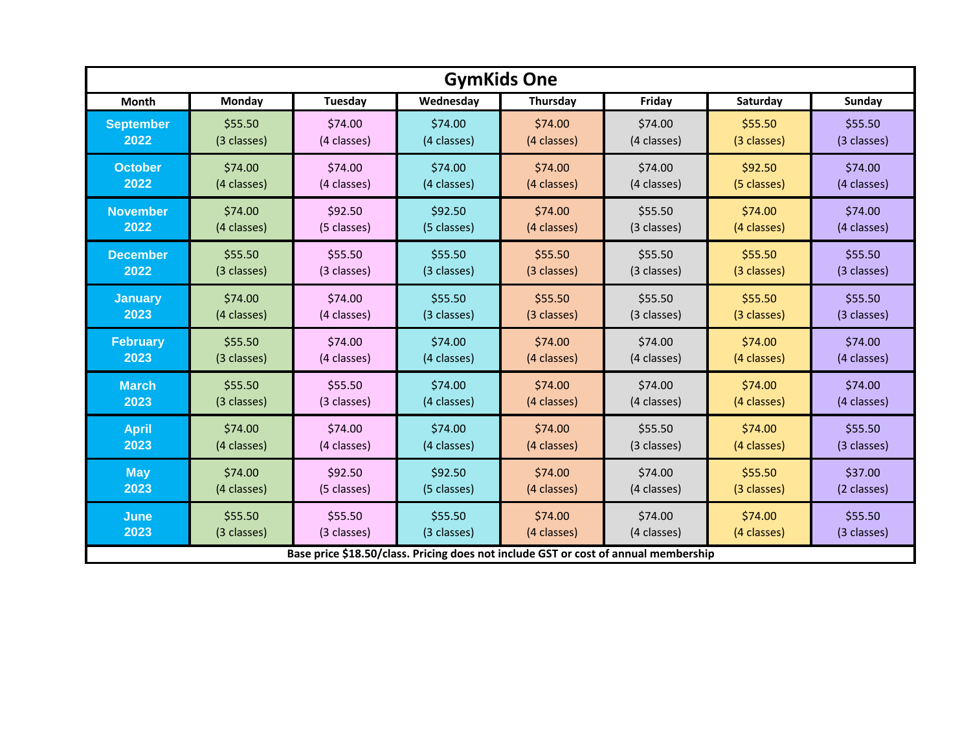| <b>GymKids One</b> |             |                |             |             |                                                                                     |             |               |  |
|--------------------|-------------|----------------|-------------|-------------|-------------------------------------------------------------------------------------|-------------|---------------|--|
| Month              | Monday      | <b>Tuesday</b> | Wednesday   | Thursday    | Friday                                                                              | Saturday    | <b>Sunday</b> |  |
| <b>September</b>   | \$55.50     | \$74.00        | \$74.00     | \$74.00     | \$74.00                                                                             | \$55.50     | \$55.50       |  |
| $\overline{2022}$  | (3 classes) | (4 classes)    | (4 classes) | (4 classes) | (4 classes)                                                                         | (3 classes) | (3 classes)   |  |
| <b>October</b>     | \$74.00     | \$74.00        | \$74.00     | \$74.00     | \$74.00                                                                             | \$92.50     | \$74.00       |  |
| 2022               | (4 classes) | (4 classes)    | (4 classes) | (4 classes) | (4 classes)                                                                         | (5 classes) | (4 classes)   |  |
| <b>November</b>    | \$74.00     | \$92.50        | \$92.50     | \$74.00     | \$55.50                                                                             | \$74.00     | \$74.00       |  |
| 2022               | (4 classes) | (5 classes)    | (5 classes) | (4 classes) | (3 classes)                                                                         | (4 classes) | (4 classes)   |  |
| <b>December</b>    | \$55.50     | \$55.50        | \$55.50     | \$55.50     | \$55.50                                                                             | \$55.50     | \$55.50       |  |
| 2022               | (3 classes) | (3 classes)    | (3 classes) | (3 classes) | (3 classes)                                                                         | (3 classes) | (3 classes)   |  |
| <b>January</b>     | \$74.00     | \$74.00        | \$55.50     | \$55.50     | \$55.50                                                                             | \$55.50     | \$55.50       |  |
| 2023               | (4 classes) | (4 classes)    | (3 classes) | (3 classes) | (3 classes)                                                                         | (3 classes) | (3 classes)   |  |
| <b>February</b>    | \$55.50     | \$74.00        | \$74.00     | \$74.00     | \$74.00                                                                             | \$74.00     | \$74.00       |  |
| 2023               | (3 classes) | (4 classes)    | (4 classes) | (4 classes) | (4 classes)                                                                         | (4 classes) | (4 classes)   |  |
| <b>March</b>       | \$55.50     | \$55.50        | \$74.00     | \$74.00     | \$74.00                                                                             | \$74.00     | \$74.00       |  |
| 2023               | (3 classes) | (3 classes)    | (4 classes) | (4 classes) | (4 classes)                                                                         | (4 classes) | (4 classes)   |  |
| <b>April</b>       | \$74.00     | \$74.00        | \$74.00     | \$74.00     | \$55.50                                                                             | \$74.00     | \$55.50       |  |
| 2023               | (4 classes) | (4 classes)    | (4 classes) | (4 classes) | (3 classes)                                                                         | (4 classes) | (3 classes)   |  |
| <b>May</b>         | \$74.00     | \$92.50        | \$92.50     | \$74.00     | \$74.00                                                                             | \$55.50     | \$37.00       |  |
| 2023               | (4 classes) | (5 classes)    | (5 classes) | (4 classes) | (4 classes)                                                                         | (3 classes) | (2 classes)   |  |
| June               | \$55.50     | \$55.50        | \$55.50     | \$74.00     | \$74.00                                                                             | \$74.00     | \$55.50       |  |
| 2023               | (3 classes) | (3 classes)    | (3 classes) | (4 classes) | (4 classes)                                                                         | (4 classes) | (3 classes)   |  |
|                    |             |                |             |             | Base price \$18.50/class. Pricing does not include GST or cost of annual membership |             |               |  |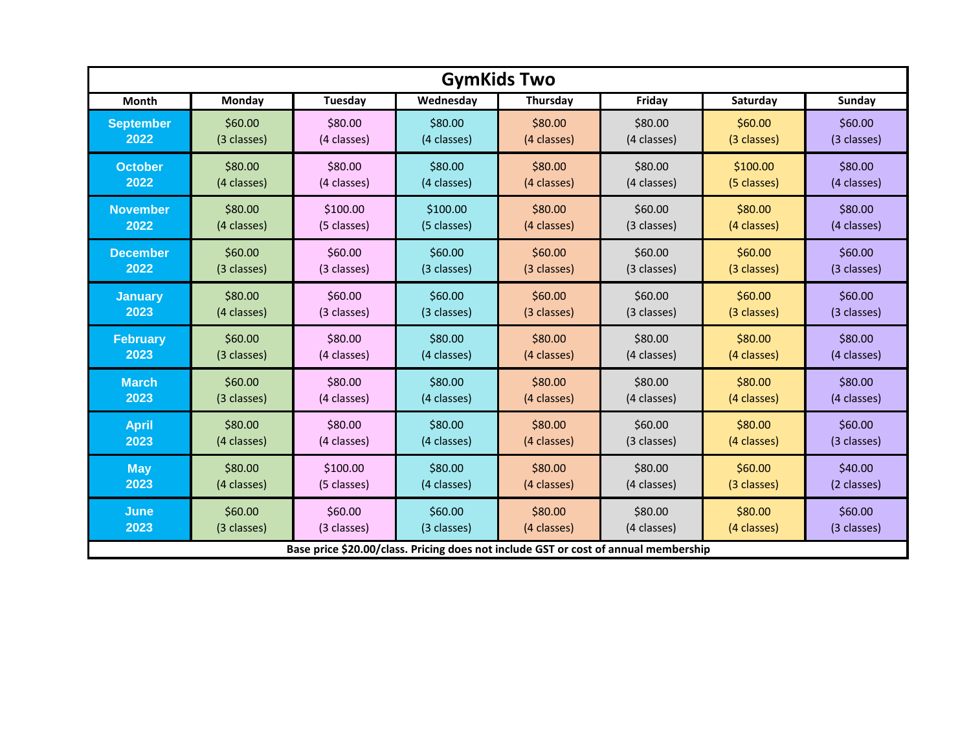| <b>GymKids Two</b> |             |                |                                                                                     |             |             |             |             |  |
|--------------------|-------------|----------------|-------------------------------------------------------------------------------------|-------------|-------------|-------------|-------------|--|
| Month              | Monday      | <b>Tuesday</b> | Wednesday                                                                           | Thursday    | Friday      | Saturday    | Sunday      |  |
| <b>September</b>   | \$60.00     | \$80.00        | \$80.00                                                                             | \$80.00     | \$80.00     | \$60.00     | \$60.00     |  |
| 2022               | (3 classes) | (4 classes)    | (4 classes)                                                                         | (4 classes) | (4 classes) | (3 classes) | (3 classes) |  |
| <b>October</b>     | \$80.00     | \$80.00        | \$80.00                                                                             | \$80.00     | \$80.00     | \$100.00    | \$80.00     |  |
| 2022               | (4 classes) | (4 classes)    | (4 classes)                                                                         | (4 classes) | (4 classes) | (5 classes) | (4 classes) |  |
| <b>November</b>    | \$80.00     | \$100.00       | \$100.00                                                                            | \$80.00     | \$60.00     | \$80.00     | \$80.00     |  |
| 2022               | (4 classes) | (5 classes)    | (5 classes)                                                                         | (4 classes) | (3 classes) | (4 classes) | (4 classes) |  |
| <b>December</b>    | \$60.00     | \$60.00        | \$60.00                                                                             | \$60.00     | \$60.00     | \$60.00     | \$60.00     |  |
| 2022               | (3 classes) | (3 classes)    | (3 classes)                                                                         | (3 classes) | (3 classes) | (3 classes) | (3 classes) |  |
| <b>January</b>     | \$80.00     | \$60.00        | \$60.00                                                                             | \$60.00     | \$60.00     | \$60.00     | \$60.00     |  |
| 2023               | (4 classes) | (3 classes)    | (3 classes)                                                                         | (3 classes) | (3 classes) | (3 classes) | (3 classes) |  |
| <b>February</b>    | \$60.00     | \$80.00        | \$80.00                                                                             | \$80.00     | \$80.00     | \$80.00     | \$80.00     |  |
| 2023               | (3 classes) | (4 classes)    | (4 classes)                                                                         | (4 classes) | (4 classes) | (4 classes) | (4 classes) |  |
| <b>March</b>       | \$60.00     | \$80.00        | \$80.00                                                                             | \$80.00     | \$80.00     | \$80.00     | \$80.00     |  |
| 2023               | (3 classes) | (4 classes)    | (4 classes)                                                                         | (4 classes) | (4 classes) | (4 classes) | (4 classes) |  |
| <b>April</b>       | \$80.00     | \$80.00        | \$80.00                                                                             | \$80.00     | \$60.00     | \$80.00     | \$60.00     |  |
| 2023               | (4 classes) | (4 classes)    | (4 classes)                                                                         | (4 classes) | (3 classes) | (4 classes) | (3 classes) |  |
| <b>May</b>         | \$80.00     | \$100.00       | \$80.00                                                                             | \$80.00     | \$80.00     | \$60.00     | \$40.00     |  |
| 2023               | (4 classes) | (5 classes)    | (4 classes)                                                                         | (4 classes) | (4 classes) | (3 classes) | (2 classes) |  |
| June               | \$60.00     | \$60.00        | \$60.00                                                                             | \$80.00     | \$80.00     | \$80.00     | \$60.00     |  |
| 2023               | (3 classes) | (3 classes)    | (3 classes)                                                                         | (4 classes) | (4 classes) | (4 classes) | (3 classes) |  |
|                    |             |                | Base price \$20.00/class. Pricing does not include GST or cost of annual membership |             |             |             |             |  |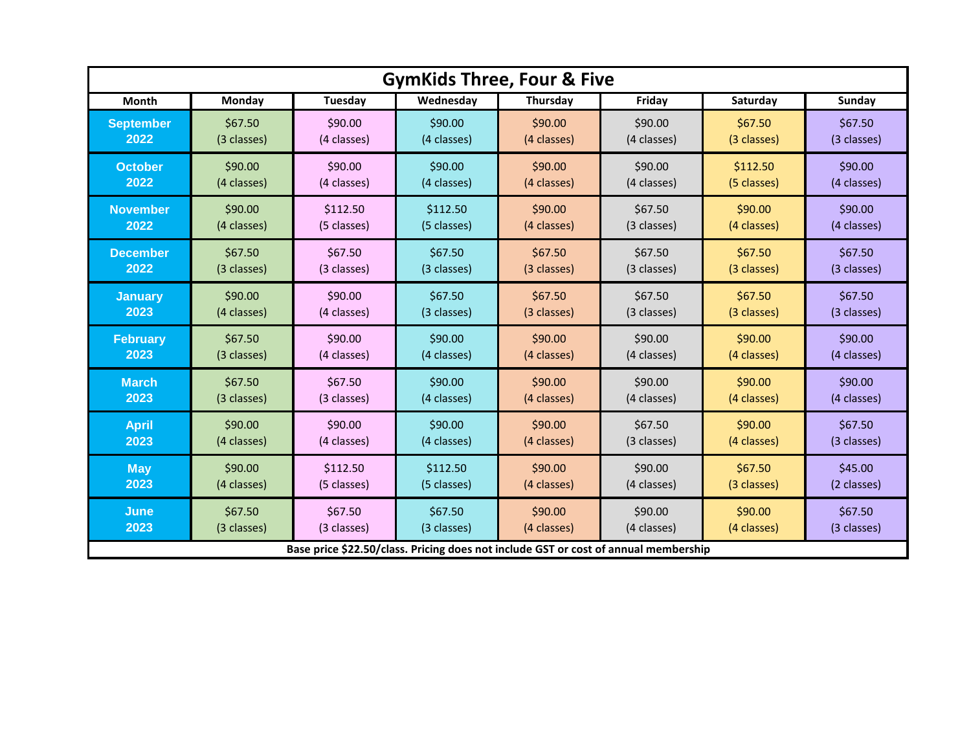| <b>GymKids Three, Four &amp; Five</b> |             |                |                                                                                     |             |             |             |               |  |
|---------------------------------------|-------------|----------------|-------------------------------------------------------------------------------------|-------------|-------------|-------------|---------------|--|
| Month                                 | Monday      | <b>Tuesday</b> | Wednesday                                                                           | Thursday    | Friday      | Saturday    | <b>Sunday</b> |  |
| <b>September</b>                      | \$67.50     | \$90.00        | \$90.00                                                                             | \$90.00     | \$90.00     | \$67.50     | \$67.50       |  |
| 2022                                  | (3 classes) | (4 classes)    | (4 classes)                                                                         | (4 classes) | (4 classes) | (3 classes) | (3 classes)   |  |
| <b>October</b>                        | \$90.00     | \$90.00        | \$90.00                                                                             | \$90.00     | \$90.00     | \$112.50    | \$90.00       |  |
| 2022                                  | (4 classes) | (4 classes)    | (4 classes)                                                                         | (4 classes) | (4 classes) | (5 classes) | (4 classes)   |  |
| <b>November</b>                       | \$90.00     | \$112.50       | \$112.50                                                                            | \$90.00     | \$67.50     | \$90.00     | \$90.00       |  |
| 2022                                  | (4 classes) | (5 classes)    | (5 classes)                                                                         | (4 classes) | (3 classes) | (4 classes) | (4 classes)   |  |
| <b>December</b>                       | \$67.50     | \$67.50        | \$67.50                                                                             | \$67.50     | \$67.50     | \$67.50     | \$67.50       |  |
| 2022                                  | (3 classes) | (3 classes)    | (3 classes)                                                                         | (3 classes) | (3 classes) | (3 classes) | (3 classes)   |  |
| <b>January</b>                        | \$90.00     | \$90.00        | \$67.50                                                                             | \$67.50     | \$67.50     | \$67.50     | \$67.50       |  |
| 2023                                  | (4 classes) | (4 classes)    | (3 classes)                                                                         | (3 classes) | (3 classes) | (3 classes) | (3 classes)   |  |
| <b>February</b>                       | \$67.50     | \$90.00        | \$90.00                                                                             | \$90.00     | \$90.00     | \$90.00     | \$90.00       |  |
| 2023                                  | (3 classes) | (4 classes)    | (4 classes)                                                                         | (4 classes) | (4 classes) | (4 classes) | (4 classes)   |  |
| <b>March</b>                          | \$67.50     | \$67.50        | \$90.00                                                                             | \$90.00     | \$90.00     | \$90.00     | \$90.00       |  |
| 2023                                  | (3 classes) | (3 classes)    | (4 classes)                                                                         | (4 classes) | (4 classes) | (4 classes) | (4 classes)   |  |
| <b>April</b>                          | \$90.00     | \$90.00        | \$90.00                                                                             | \$90.00     | \$67.50     | \$90.00     | \$67.50       |  |
| 2023                                  | (4 classes) | (4 classes)    | (4 classes)                                                                         | (4 classes) | (3 classes) | (4 classes) | (3 classes)   |  |
| <b>May</b>                            | \$90.00     | \$112.50       | \$112.50                                                                            | \$90.00     | \$90.00     | \$67.50     | \$45.00       |  |
| 2023                                  | (4 classes) | (5 classes)    | (5 classes)                                                                         | (4 classes) | (4 classes) | (3 classes) | (2 classes)   |  |
| June                                  | \$67.50     | \$67.50        | \$67.50                                                                             | \$90.00     | \$90.00     | \$90.00     | \$67.50       |  |
| 2023                                  | (3 classes) | (3 classes)    | (3 classes)                                                                         | (4 classes) | (4 classes) | (4 classes) | (3 classes)   |  |
|                                       |             |                | Base price \$22.50/class. Pricing does not include GST or cost of annual membership |             |             |             |               |  |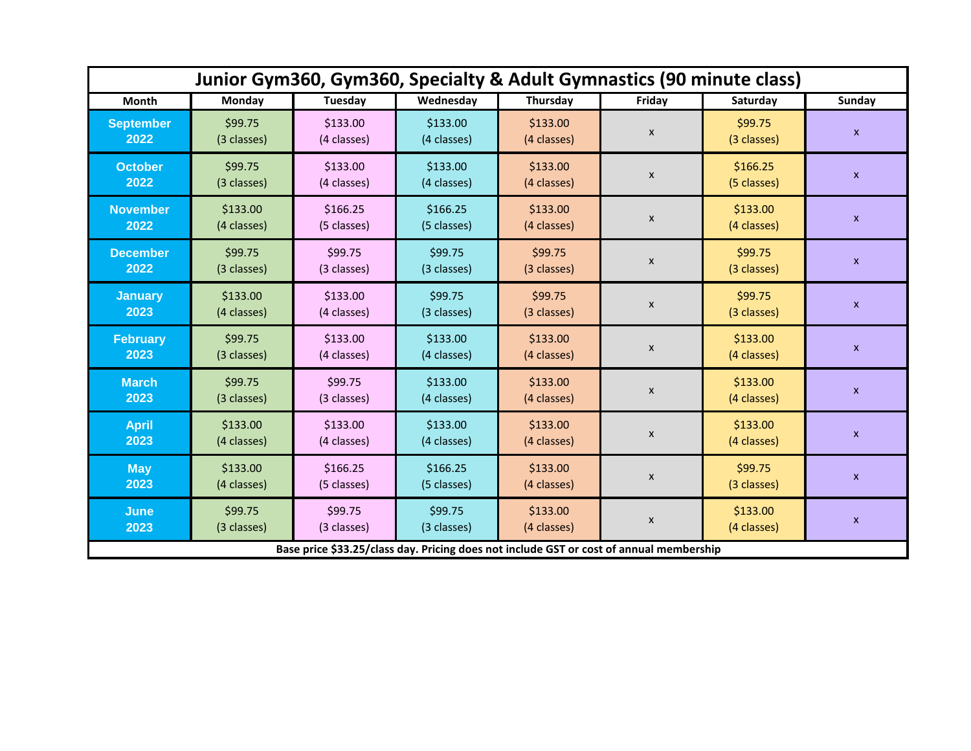| Junior Gym360, Gym360, Specialty & Adult Gymnastics (90 minute class) |                         |                         |                                                                                         |                         |                    |                         |                           |  |
|-----------------------------------------------------------------------|-------------------------|-------------------------|-----------------------------------------------------------------------------------------|-------------------------|--------------------|-------------------------|---------------------------|--|
| <b>Month</b>                                                          | <b>Monday</b>           | Tuesday                 | Wednesday                                                                               | Thursday                | Friday             | Saturday                | <b>Sunday</b>             |  |
| <b>September</b><br>2022                                              | \$99.75<br>(3 classes)  | \$133.00<br>(4 classes) | \$133.00<br>(4 classes)                                                                 | \$133.00<br>(4 classes) | $\pmb{\mathsf{x}}$ | \$99.75<br>(3 classes)  | $\pmb{\mathsf{x}}$        |  |
| <b>October</b><br>2022                                                | \$99.75<br>(3 classes)  | \$133.00<br>(4 classes) | \$133.00<br>(4 classes)                                                                 | \$133.00<br>(4 classes) | $\pmb{\mathsf{x}}$ | \$166.25<br>(5 classes) | $\pmb{\mathsf{x}}$        |  |
| <b>November</b><br>2022                                               | \$133.00<br>(4 classes) | \$166.25<br>(5 classes) | \$166.25<br>(5 classes)                                                                 | \$133.00<br>(4 classes) | $\pmb{\mathsf{x}}$ | \$133.00<br>(4 classes) | $\pmb{\mathsf{x}}$        |  |
| <b>December</b><br>2022                                               | \$99.75<br>(3 classes)  | \$99.75<br>(3 classes)  | \$99.75<br>(3 classes)                                                                  | \$99.75<br>(3 classes)  | $\pmb{\mathsf{x}}$ | \$99.75<br>(3 classes)  | $\boldsymbol{\mathsf{X}}$ |  |
| <b>January</b><br>2023                                                | \$133.00<br>(4 classes) | \$133.00<br>(4 classes) | \$99.75<br>(3 classes)                                                                  | \$99.75<br>(3 classes)  | $\pmb{\mathsf{x}}$ | \$99.75<br>(3 classes)  | $\pmb{\mathsf{X}}$        |  |
| <b>February</b><br>2023                                               | \$99.75<br>(3 classes)  | \$133.00<br>(4 classes) | \$133.00<br>(4 classes)                                                                 | \$133.00<br>(4 classes) | $\pmb{\mathsf{x}}$ | \$133.00<br>(4 classes) | $\pmb{\mathsf{X}}$        |  |
| <b>March</b><br>2023                                                  | \$99.75<br>(3 classes)  | \$99.75<br>(3 classes)  | \$133.00<br>(4 classes)                                                                 | \$133.00<br>(4 classes) | $\pmb{\mathsf{X}}$ | \$133.00<br>(4 classes) | $\pmb{\mathsf{X}}$        |  |
| <b>April</b><br>2023                                                  | \$133.00<br>(4 classes) | \$133.00<br>(4 classes) | \$133.00<br>(4 classes)                                                                 | \$133.00<br>(4 classes) | $\pmb{\mathsf{x}}$ | \$133.00<br>(4 classes) | $\pmb{\mathsf{x}}$        |  |
| <b>May</b><br>2023                                                    | \$133.00<br>(4 classes) | \$166.25<br>(5 classes) | \$166.25<br>(5 classes)                                                                 | \$133.00<br>(4 classes) | $\pmb{\mathsf{x}}$ | \$99.75<br>(3 classes)  | $\pmb{\mathsf{X}}$        |  |
| <b>June</b><br>2023                                                   | \$99.75<br>(3 classes)  | \$99.75<br>(3 classes)  | \$99.75<br>(3 classes)                                                                  | \$133.00<br>(4 classes) | $\pmb{\mathsf{x}}$ | \$133.00<br>(4 classes) | $\pmb{\mathsf{x}}$        |  |
|                                                                       |                         |                         | Base price \$33.25/class day. Pricing does not include GST or cost of annual membership |                         |                    |                         |                           |  |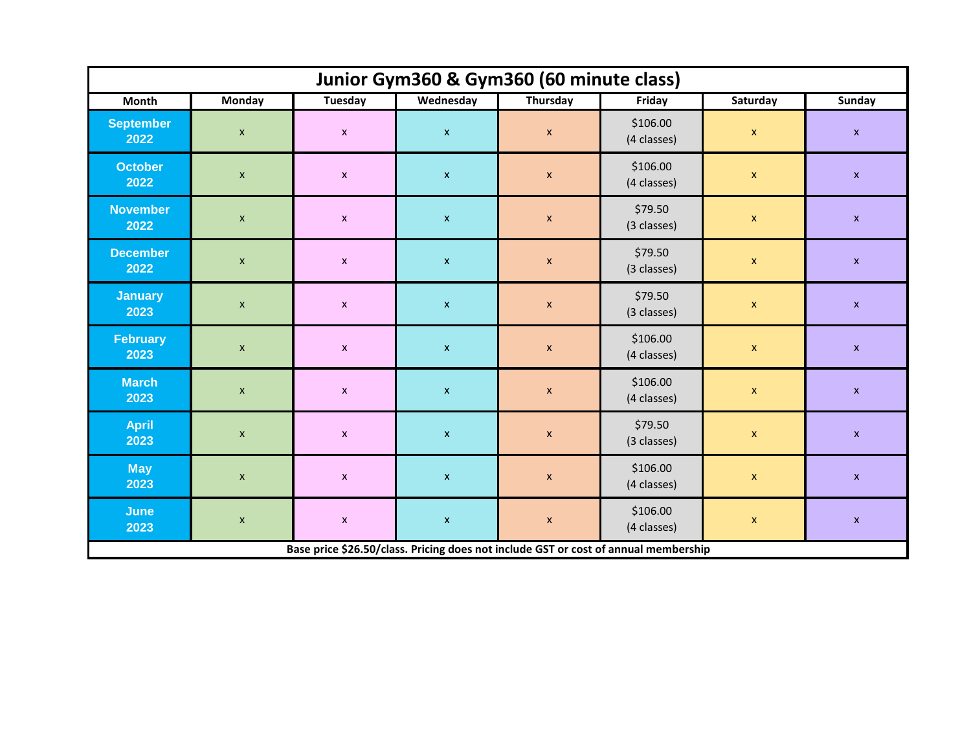| Junior Gym360 & Gym360 (60 minute class) |                                                                                     |                    |                           |                           |                         |                           |                           |  |  |  |
|------------------------------------------|-------------------------------------------------------------------------------------|--------------------|---------------------------|---------------------------|-------------------------|---------------------------|---------------------------|--|--|--|
| <b>Month</b>                             | <b>Monday</b>                                                                       | <b>Tuesday</b>     | Wednesday                 | Thursday                  | Friday                  | Saturday                  | <b>Sunday</b>             |  |  |  |
| <b>September</b><br>2022                 | $\pmb{\mathsf{x}}$                                                                  | $\pmb{\mathsf{x}}$ | $\mathsf X$               | $\pmb{\mathsf{x}}$        | \$106.00<br>(4 classes) | $\boldsymbol{\mathsf{x}}$ | $\pmb{\mathsf{x}}$        |  |  |  |
| <b>October</b><br>2022                   | $\pmb{\mathsf{x}}$                                                                  | $\pmb{\mathsf{x}}$ | $\mathsf X$               | $\boldsymbol{\mathsf{x}}$ | \$106.00<br>(4 classes) | $\mathsf{x}$              | $\pmb{\mathsf{x}}$        |  |  |  |
| <b>November</b><br>2022                  | $\mathsf X$                                                                         | $\pmb{\mathsf{x}}$ | $\mathbf x$               | $\boldsymbol{\mathsf{x}}$ | \$79.50<br>(3 classes)  | $\mathsf X$               | $\pmb{\mathsf{x}}$        |  |  |  |
| <b>December</b><br>2022                  | $\boldsymbol{\mathsf{X}}$                                                           | $\pmb{\mathsf{x}}$ | $\mathbf{x}$              | $\boldsymbol{\mathsf{X}}$ | \$79.50<br>(3 classes)  | $\pmb{\mathsf{X}}$        | $\pmb{\mathsf{x}}$        |  |  |  |
| <b>January</b><br>2023                   | $\boldsymbol{\mathsf{X}}$                                                           | $\pmb{\mathsf{x}}$ | $\boldsymbol{\mathsf{X}}$ | $\boldsymbol{\mathsf{X}}$ | \$79.50<br>(3 classes)  | $\pmb{\mathsf{x}}$        | $\pmb{\mathsf{x}}$        |  |  |  |
| <b>February</b><br>2023                  | $\pmb{\mathsf{x}}$                                                                  | $\pmb{\mathsf{x}}$ | $\mathbf x$               | $\boldsymbol{\mathsf{x}}$ | \$106.00<br>(4 classes) | $\pmb{\mathsf{x}}$        | $\pmb{\mathsf{x}}$        |  |  |  |
| <b>March</b><br>2023                     | $\boldsymbol{\mathsf{X}}$                                                           | $\pmb{\mathsf{x}}$ | $\boldsymbol{\mathsf{X}}$ | $\boldsymbol{\mathsf{x}}$ | \$106.00<br>(4 classes) | $\pmb{\mathsf{x}}$        | $\boldsymbol{\mathsf{X}}$ |  |  |  |
| <b>April</b><br>2023                     | $\pmb{\mathsf{x}}$                                                                  | $\pmb{\mathsf{x}}$ | $\mathsf X$               | $\boldsymbol{\mathsf{X}}$ | \$79.50<br>(3 classes)  | $\pmb{\mathsf{x}}$        | $\pmb{\mathsf{x}}$        |  |  |  |
| <b>May</b><br>2023                       | $\pmb{\mathsf{X}}$                                                                  | $\pmb{\mathsf{x}}$ | $\mathbf{x}$              | $\boldsymbol{\mathsf{X}}$ | \$106.00<br>(4 classes) | $\pmb{\mathsf{x}}$        | $\pmb{\mathsf{x}}$        |  |  |  |
| <b>June</b><br>2023                      | $\pmb{\mathsf{x}}$                                                                  | $\pmb{\mathsf{x}}$ | $\mathbf x$               | $\mathbf x$               | \$106.00<br>(4 classes) | $\boldsymbol{\mathsf{x}}$ | $\boldsymbol{\mathsf{X}}$ |  |  |  |
|                                          | Base price \$26.50/class. Pricing does not include GST or cost of annual membership |                    |                           |                           |                         |                           |                           |  |  |  |